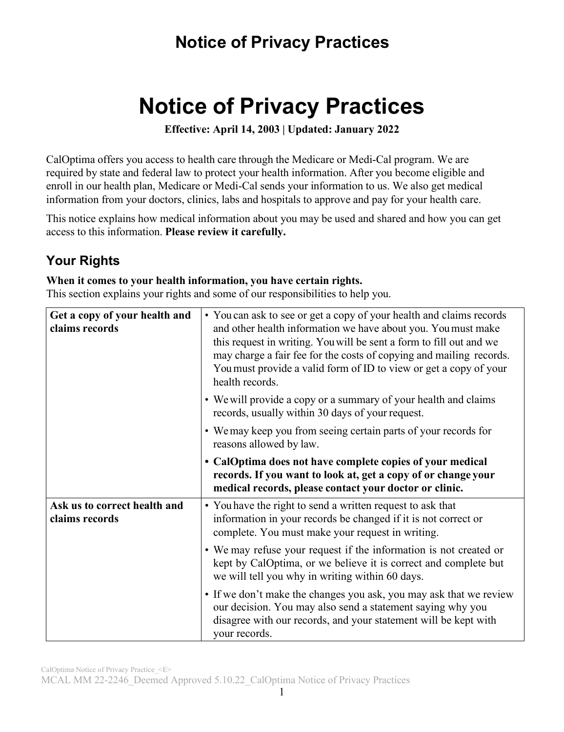# **Notice of Privacy Practices**

**Effective: April 14, 2003 | Updated: January 2022**

CalOptima offers you access to health care through the Medicare or Medi-Cal program. We are required by state and federal law to protect your health information. After you become eligible and enroll in our health plan, Medicare or Medi-Cal sends your information to us. We also get medical information from your doctors, clinics, labs and hospitals to approve and pay for your health care.

This notice explains how medical information about you may be used and shared and how you can get access to this information. **Please review it carefully.**

### **Your Rights**

#### **When it comes to your health information, you have certain rights.**

This section explains your rights and some of our responsibilities to help you.

| Get a copy of your health and<br>claims records | • You can ask to see or get a copy of your health and claims records<br>and other health information we have about you. You must make<br>this request in writing. You will be sent a form to fill out and we<br>may charge a fair fee for the costs of copying and mailing records.<br>You must provide a valid form of ID to view or get a copy of your<br>health records. |
|-------------------------------------------------|-----------------------------------------------------------------------------------------------------------------------------------------------------------------------------------------------------------------------------------------------------------------------------------------------------------------------------------------------------------------------------|
|                                                 | • We will provide a copy or a summary of your health and claims<br>records, usually within 30 days of your request.                                                                                                                                                                                                                                                         |
|                                                 | • We may keep you from seeing certain parts of your records for<br>reasons allowed by law.                                                                                                                                                                                                                                                                                  |
|                                                 | • CalOptima does not have complete copies of your medical<br>records. If you want to look at, get a copy of or change your<br>medical records, please contact your doctor or clinic.                                                                                                                                                                                        |
| Ask us to correct health and<br>claims records  | • You have the right to send a written request to ask that<br>information in your records be changed if it is not correct or<br>complete. You must make your request in writing.                                                                                                                                                                                            |
|                                                 | • We may refuse your request if the information is not created or<br>kept by CalOptima, or we believe it is correct and complete but<br>we will tell you why in writing within 60 days.                                                                                                                                                                                     |
|                                                 | • If we don't make the changes you ask, you may ask that we review<br>our decision. You may also send a statement saying why you<br>disagree with our records, and your statement will be kept with<br>your records.                                                                                                                                                        |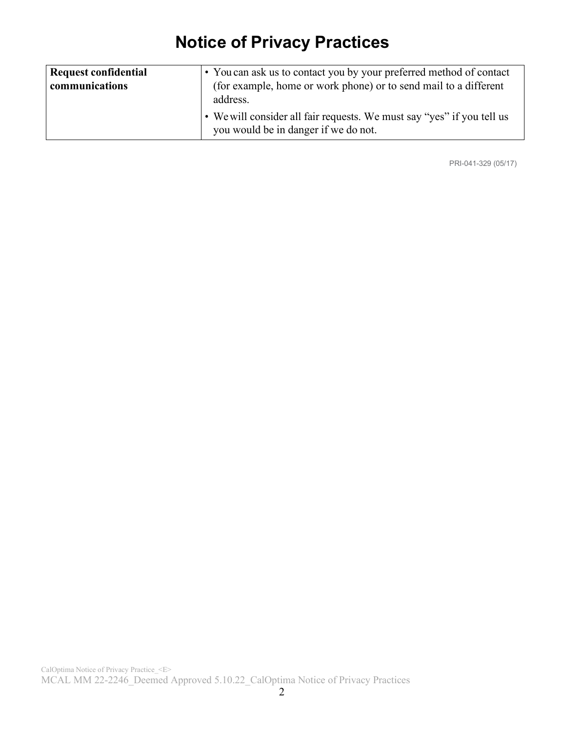| Request confidential | • You can ask us to contact you by your preferred method of contact          |
|----------------------|------------------------------------------------------------------------------|
| communications       | (for example, home or work phone) or to send mail to a different<br>address. |
|                      | • We will consider all fair requests. We must say "yes" if you tell us       |
|                      | you would be in danger if we do not.                                         |

PRI-041-329 (05/17)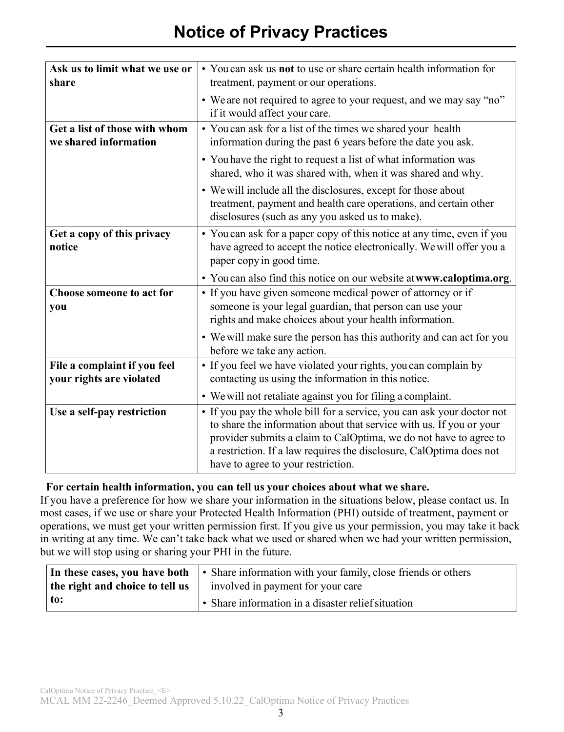| Ask us to limit what we use or<br>share                  | • You can ask us not to use or share certain health information for<br>treatment, payment or our operations.                                                                                                                                                                                                                    |
|----------------------------------------------------------|---------------------------------------------------------------------------------------------------------------------------------------------------------------------------------------------------------------------------------------------------------------------------------------------------------------------------------|
|                                                          | • We are not required to agree to your request, and we may say "no"<br>if it would affect your care.                                                                                                                                                                                                                            |
| Get a list of those with whom<br>we shared information   | • You can ask for a list of the times we shared your health<br>information during the past 6 years before the date you ask.                                                                                                                                                                                                     |
|                                                          | • You have the right to request a list of what information was<br>shared, who it was shared with, when it was shared and why.                                                                                                                                                                                                   |
|                                                          | • We will include all the disclosures, except for those about<br>treatment, payment and health care operations, and certain other<br>disclosures (such as any you asked us to make).                                                                                                                                            |
| Get a copy of this privacy<br>notice                     | • You can ask for a paper copy of this notice at any time, even if you<br>have agreed to accept the notice electronically. We will offer you a<br>paper copy in good time.                                                                                                                                                      |
|                                                          | • You can also find this notice on our website at www.caloptima.org.                                                                                                                                                                                                                                                            |
| Choose someone to act for<br>you                         | • If you have given someone medical power of attorney or if<br>someone is your legal guardian, that person can use your<br>rights and make choices about your health information.                                                                                                                                               |
|                                                          | • We will make sure the person has this authority and can act for you<br>before we take any action.                                                                                                                                                                                                                             |
| File a complaint if you feel<br>your rights are violated | • If you feel we have violated your rights, you can complain by<br>contacting us using the information in this notice.                                                                                                                                                                                                          |
|                                                          | • We will not retaliate against you for filing a complaint.                                                                                                                                                                                                                                                                     |
| Use a self-pay restriction                               | • If you pay the whole bill for a service, you can ask your doctor not<br>to share the information about that service with us. If you or your<br>provider submits a claim to CalOptima, we do not have to agree to<br>a restriction. If a law requires the disclosure, CalOptima does not<br>have to agree to your restriction. |

#### **For certain health information, you can tell us your choices about what we share.**

If you have a preference for how we share your information in the situations below, please contact us. In most cases, if we use or share your Protected Health Information (PHI) outside of treatment, payment or operations, we must get your written permission first. If you give us your permission, you may take it back in writing at any time. We can't take back what we used or shared when we had your written permission, but we will stop using or sharing your PHI in the future.

| In these cases, you have both   | • Share information with your family, close friends or others |
|---------------------------------|---------------------------------------------------------------|
| the right and choice to tell us | involved in payment for your care                             |
| $\pm$ to:                       | $\cdot$ Share information in a disaster relief situation      |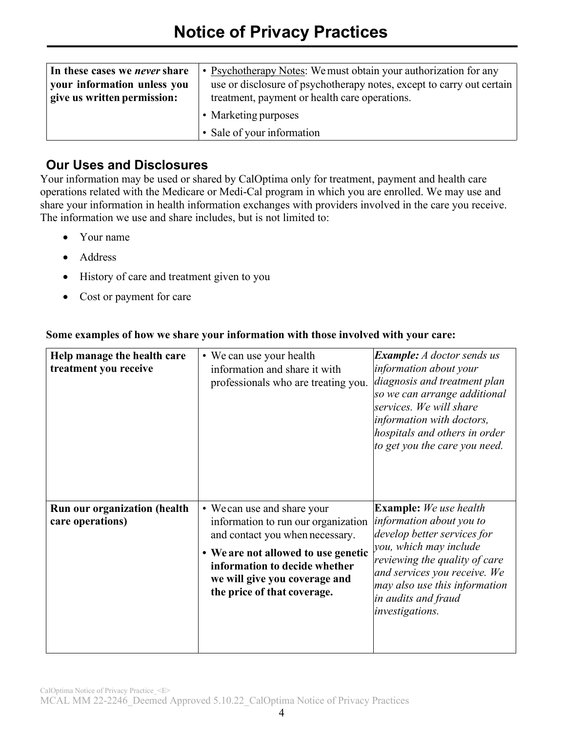| In these cases we <i>never</i> share | • Psychotherapy Notes: We must obtain your authorization for any      |
|--------------------------------------|-----------------------------------------------------------------------|
| your information unless you          | use or disclosure of psychotherapy notes, except to carry out certain |
| give us written permission:          | treatment, payment or health care operations.                         |
|                                      | • Marketing purposes                                                  |
|                                      | • Sale of your information                                            |

#### **Our Uses and Disclosures**

Your information may be used or shared by CalOptima only for treatment, payment and health care operations related with the Medicare or Medi-Cal program in which you are enrolled. We may use and share your information in health information exchanges with providers involved in the care you receive. The information we use and share includes, but is not limited to:

- Your name
- Address
- History of care and treatment given to you
- Cost or payment for care

| Help manage the health care<br>treatment you receive    | • We can use your health<br>information and share it with<br>professionals who are treating you.                                                                                                                                              | <b>Example:</b> A doctor sends us<br>information about your<br>diagnosis and treatment plan<br>so we can arrange additional<br>services. We will share<br>information with doctors,<br>hospitals and others in order<br>to get you the care you need.          |
|---------------------------------------------------------|-----------------------------------------------------------------------------------------------------------------------------------------------------------------------------------------------------------------------------------------------|----------------------------------------------------------------------------------------------------------------------------------------------------------------------------------------------------------------------------------------------------------------|
| <b>Run our organization (health</b><br>care operations) | • We can use and share your<br>information to run our organization<br>and contact you when necessary.<br>• We are not allowed to use genetic<br>information to decide whether<br>we will give you coverage and<br>the price of that coverage. | <b>Example:</b> We use health<br>information about you to<br>develop better services for<br>you, which may include<br>reviewing the quality of care<br>and services you receive. We<br>may also use this information<br>in audits and fraud<br>investigations. |

#### **Some examples of how we share your information with those involved with your care:**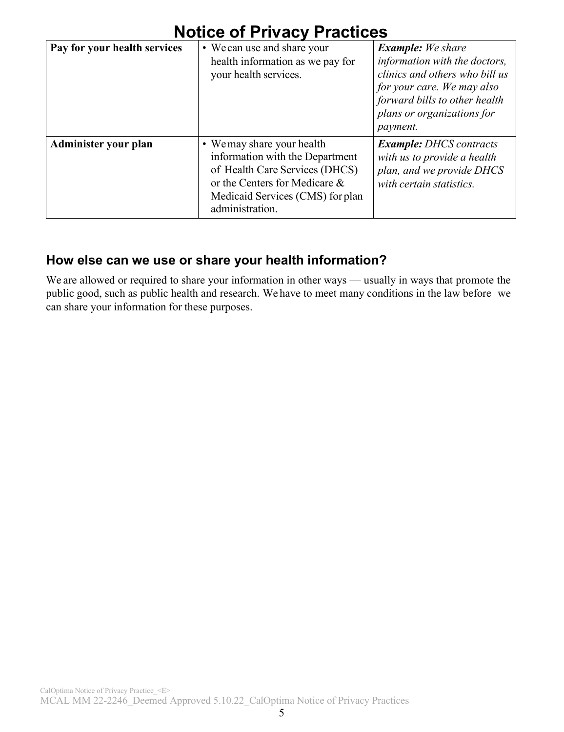| NULIUS UI FIIVAUV FIAULIUSS  |                                                                                                                                                                                         |                                                                                                                                                                                                             |
|------------------------------|-----------------------------------------------------------------------------------------------------------------------------------------------------------------------------------------|-------------------------------------------------------------------------------------------------------------------------------------------------------------------------------------------------------------|
| Pay for your health services | • We can use and share your<br>health information as we pay for<br>your health services.                                                                                                | <b>Example:</b> We share<br>information with the doctors,<br>clinics and others who bill us<br>for your care. We may also<br>forward bills to other health<br>plans or organizations for<br><i>payment.</i> |
| Administer your plan         | • We may share your health<br>information with the Department<br>of Health Care Services (DHCS)<br>or the Centers for Medicare &<br>Medicaid Services (CMS) for plan<br>administration. | <b>Example:</b> DHCS contracts<br>with us to provide a health<br>plan, and we provide DHCS<br>with certain statistics.                                                                                      |

### **How else can we use or share your health information?**

We are allowed or required to share your information in other ways — usually in ways that promote the public good, such as public health and research. We have to meet many conditions in the law before we can share your information for these purposes.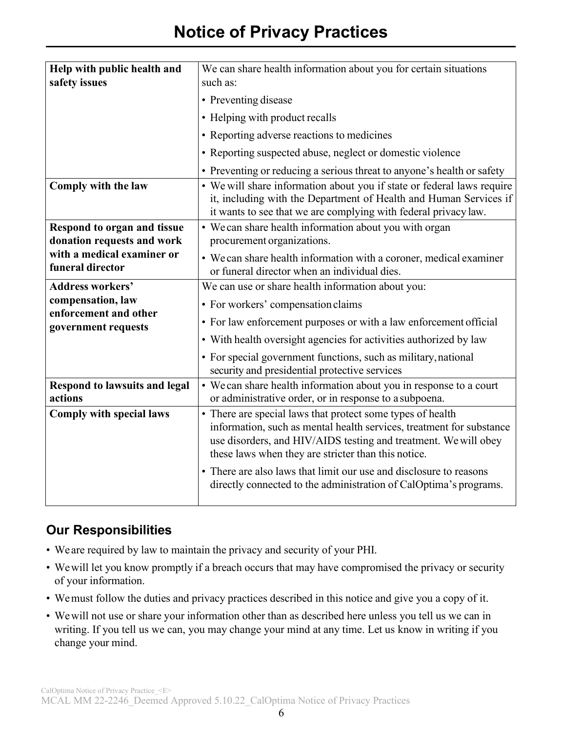| Help with public health and<br>safety issues                     | We can share health information about you for certain situations<br>such as:                                                                                                                                                                                 |
|------------------------------------------------------------------|--------------------------------------------------------------------------------------------------------------------------------------------------------------------------------------------------------------------------------------------------------------|
|                                                                  | • Preventing disease                                                                                                                                                                                                                                         |
|                                                                  | • Helping with product recalls                                                                                                                                                                                                                               |
|                                                                  | • Reporting adverse reactions to medicines                                                                                                                                                                                                                   |
|                                                                  | • Reporting suspected abuse, neglect or domestic violence                                                                                                                                                                                                    |
|                                                                  | • Preventing or reducing a serious threat to anyone's health or safety                                                                                                                                                                                       |
| Comply with the law                                              | • We will share information about you if state or federal laws require<br>it, including with the Department of Health and Human Services if<br>it wants to see that we are complying with federal privacy law.                                               |
| <b>Respond to organ and tissue</b><br>donation requests and work | • We can share health information about you with organ<br>procurement organizations.                                                                                                                                                                         |
| with a medical examiner or<br>funeral director                   | • We can share health information with a coroner, medical examiner<br>or funeral director when an individual dies.                                                                                                                                           |
| <b>Address workers'</b>                                          | We can use or share health information about you:                                                                                                                                                                                                            |
| compensation, law<br>enforcement and other                       | • For workers' compensation claims                                                                                                                                                                                                                           |
| government requests                                              | • For law enforcement purposes or with a law enforcement official                                                                                                                                                                                            |
|                                                                  | • With health oversight agencies for activities authorized by law                                                                                                                                                                                            |
|                                                                  | • For special government functions, such as military, national<br>security and presidential protective services                                                                                                                                              |
| <b>Respond to lawsuits and legal</b><br>actions                  | • We can share health information about you in response to a court<br>or administrative order, or in response to a subpoena.                                                                                                                                 |
| <b>Comply with special laws</b>                                  | • There are special laws that protect some types of health<br>information, such as mental health services, treatment for substance<br>use disorders, and HIV/AIDS testing and treatment. We will obey<br>these laws when they are stricter than this notice. |
|                                                                  | • There are also laws that limit our use and disclosure to reasons<br>directly connected to the administration of CalOptima's programs.                                                                                                                      |

### **Our Responsibilities**

- We are required by law to maintain the privacy and security of your PHI.
- Wewill let you know promptly if a breach occurs that may have compromised the privacy or security of your information.
- We must follow the duties and privacy practices described in this notice and give you a copy of it.
- Wewill not use or share your information other than as described here unless you tell us we can in writing. If you tell us we can, you may change your mind at any time. Let us know in writing if you change your mind.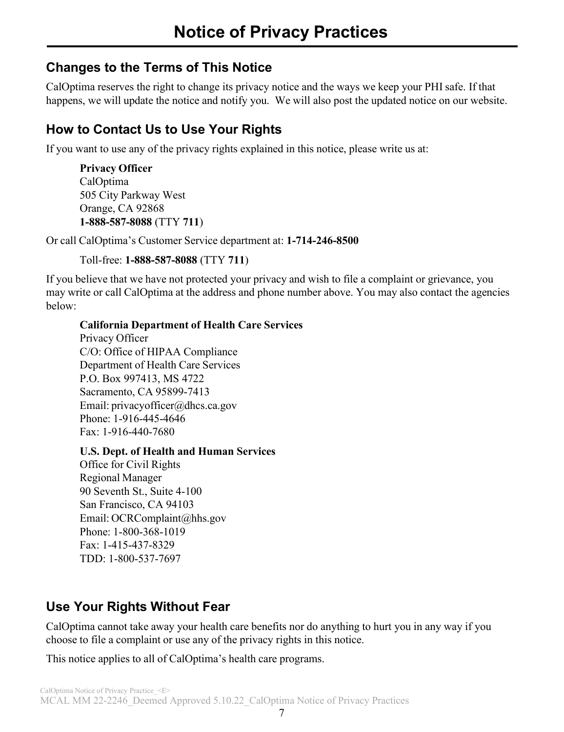### **Changes to the Terms of This Notice**

CalOptima reserves the right to change its privacy notice and the ways we keep your PHI safe. If that happens, we will update the notice and notify you. We will also post the updated notice on our website.

### **How to Contact Us to Use Your Rights**

If you want to use any of the privacy rights explained in this notice, please write us at:

**Privacy Officer** CalOptima 505 City Parkway West Orange, CA 92868 **1-888-587-8088** (TTY **711**)

Or call CalOptima's Customer Service department at: **1-714-246-8500**

Toll-free: **1-888-587-8088** (TTY **711**)

If you believe that we have not protected your privacy and wish to file a complaint or grievance, you may write or call CalOptima at the address and phone number above. You may also contact the agencies below:

#### **California Department of Health Care Services**

Privacy Officer C/O: Office of HIPAA Compliance Department of Health Care Services P.O. Box 997413, MS 4722 Sacramento, CA 95899-7413 Email: privacyofficer@dhcs.ca.gov Phone: 1-916-445-4646 Fax: 1-916-440-7680

#### **U.S. Dept. of Health and Human Services**

Office for Civil Rights Regional Manager 90 Seventh St., Suite 4-100 San Francisco, CA 94103 Email: OCRComplaint@hhs.gov Phone: 1-800-368-1019 Fax: 1-415-437-8329 TDD: 1-800-537-7697

### **Use Your Rights Without Fear**

CalOptima cannot take away your health care benefits nor do anything to hurt you in any way if you choose to file a complaint or use any of the privacy rights in this notice.

This notice applies to all of CalOptima's health care programs.